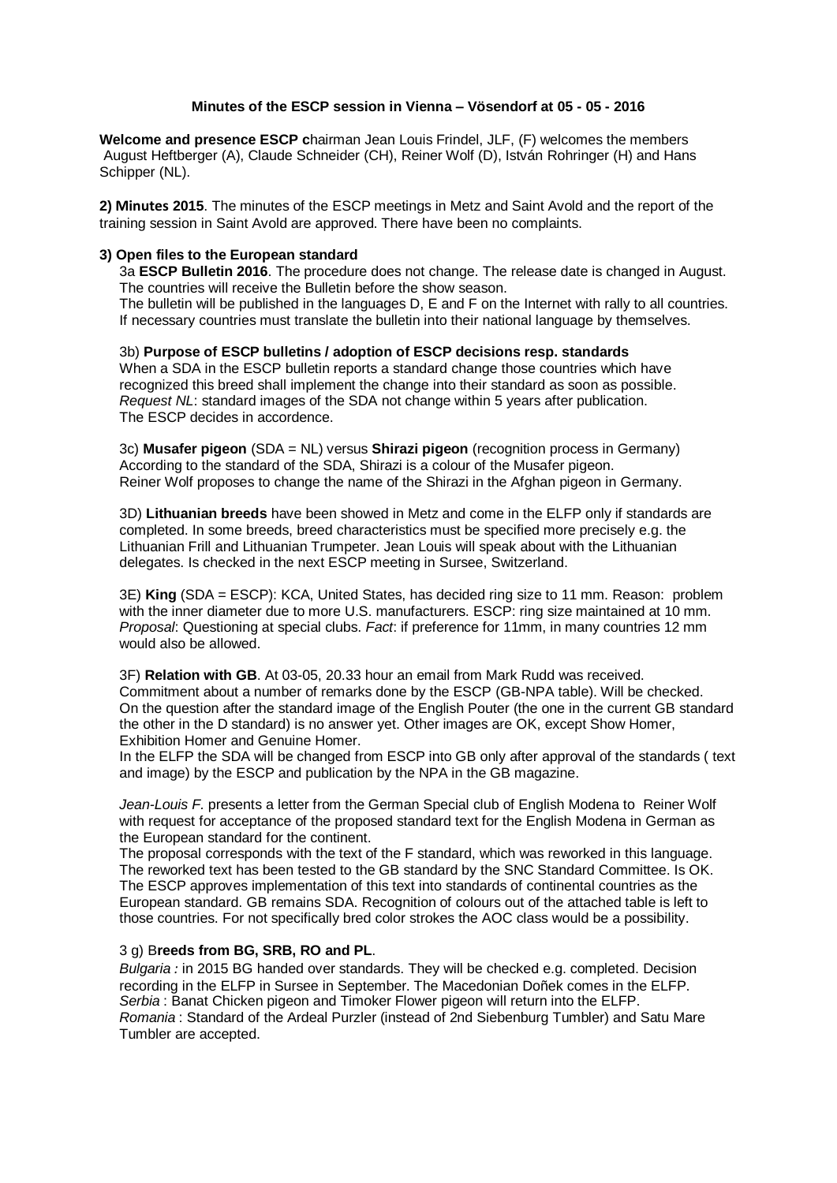## **Minutes of the ESCP session in Vienna – Vösendorf at 05 - 05 - 2016**

**Welcome and presence ESCP c**hairman Jean Louis Frindel, JLF, (F) welcomes the members August Heftberger (A), Claude Schneider (CH), Reiner Wolf (D), István Rohringer (H) and Hans Schipper (NL).

**2) Minutes 2015**. The minutes of the ESCP meetings in Metz and Saint Avold and the report of the training session in Saint Avold are approved. There have been no complaints.

## **3) Open files to the European standard**

3a **ESCP Bulletin 2016**. The procedure does not change. The release date is changed in August. The countries will receive the Bulletin before the show season.

The bulletin will be published in the languages D, E and F on the Internet with rally to all countries. If necessary countries must translate the bulletin into their national language by themselves.

3b) **Purpose of ESCP bulletins / adoption of ESCP decisions resp. standards** When a SDA in the ESCP bulletin reports a standard change those countries which have recognized this breed shall implement the change into their standard as soon as possible. *Request NL*: standard images of the SDA not change within 5 years after publication. The ESCP decides in accordence.

3c) **Musafer pigeon** (SDA = NL) versus **Shirazi pigeon** (recognition process in Germany) According to the standard of the SDA, Shirazi is a colour of the Musafer pigeon. Reiner Wolf proposes to change the name of the Shirazi in the Afghan pigeon in Germany.

3D) **Lithuanian breeds** have been showed in Metz and come in the ELFP only if standards are completed. In some breeds, breed characteristics must be specified more precisely e.g. the Lithuanian Frill and Lithuanian Trumpeter. Jean Louis will speak about with the Lithuanian delegates. Is checked in the next ESCP meeting in Sursee, Switzerland.

3E) **King** (SDA = ESCP): KCA, United States, has decided ring size to 11 mm. Reason: problem with the inner diameter due to more U.S. manufacturers. ESCP: ring size maintained at 10 mm. *Proposal*: Questioning at special clubs. *Fact*: if preference for 11mm, in many countries 12 mm would also be allowed.

3F) **Relation with GB**. At 03-05, 20.33 hour an email from Mark Rudd was received. Commitment about a number of remarks done by the ESCP (GB-NPA table). Will be checked. On the question after the standard image of the English Pouter (the one in the current GB standard the other in the D standard) is no answer yet. Other images are OK, except Show Homer, Exhibition Homer and Genuine Homer.

In the ELFP the SDA will be changed from ESCP into GB only after approval of the standards ( text and image) by the ESCP and publication by the NPA in the GB magazine.

*Jean-Louis F.* presents a letter from the German Special club of English Modena to Reiner Wolf with request for acceptance of the proposed standard text for the English Modena in German as the European standard for the continent.

The proposal corresponds with the text of the F standard, which was reworked in this language. The reworked text has been tested to the GB standard by the SNC Standard Committee. Is OK. The ESCP approves implementation of this text into standards of continental countries as the European standard. GB remains SDA. Recognition of colours out of the attached table is left to those countries. For not specifically bred color strokes the AOC class would be a possibility.

## 3 g) B**reeds from BG, SRB, RO and PL**.

*Bulgaria :* in 2015 BG handed over standards. They will be checked e.g. completed. Decision recording in the ELFP in Sursee in September. The Macedonian Doñek comes in the ELFP. *Serbia* : Banat Chicken pigeon and Timoker Flower pigeon will return into the ELFP. *Romania* : Standard of the Ardeal Purzler (instead of 2nd Siebenburg Tumbler) and Satu Mare Tumbler are accepted.